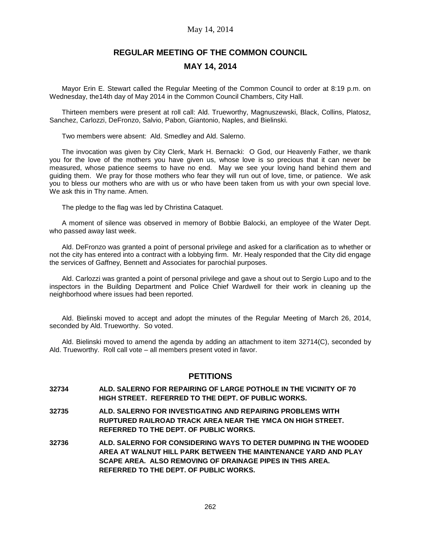# **REGULAR MEETING OF THE COMMON COUNCIL MAY 14, 2014**

Mayor Erin E. Stewart called the Regular Meeting of the Common Council to order at 8:19 p.m. on Wednesday, the14th day of May 2014 in the Common Council Chambers, City Hall.

Thirteen members were present at roll call: Ald. Trueworthy, Magnuszewski, Black, Collins, Platosz, Sanchez, Carlozzi, DeFronzo, Salvio, Pabon, Giantonio, Naples, and Bielinski.

Two members were absent: Ald. Smedley and Ald. Salerno.

The invocation was given by City Clerk, Mark H. Bernacki: O God, our Heavenly Father, we thank you for the love of the mothers you have given us, whose love is so precious that it can never be measured, whose patience seems to have no end. May we see your loving hand behind them and guiding them. We pray for those mothers who fear they will run out of love, time, or patience. We ask you to bless our mothers who are with us or who have been taken from us with your own special love. We ask this in Thy name. Amen.

The pledge to the flag was led by Christina Cataquet.

A moment of silence was observed in memory of Bobbie Balocki, an employee of the Water Dept. who passed away last week.

Ald. DeFronzo was granted a point of personal privilege and asked for a clarification as to whether or not the city has entered into a contract with a lobbying firm. Mr. Healy responded that the City did engage the services of Gaffney, Bennett and Associates for parochial purposes.

Ald. Carlozzi was granted a point of personal privilege and gave a shout out to Sergio Lupo and to the inspectors in the Building Department and Police Chief Wardwell for their work in cleaning up the neighborhood where issues had been reported.

Ald. Bielinski moved to accept and adopt the minutes of the Regular Meeting of March 26, 2014, seconded by Ald. Trueworthy. So voted.

Ald. Bielinski moved to amend the agenda by adding an attachment to item 32714(C), seconded by Ald. Trueworthy. Roll call vote – all members present voted in favor.

# **PETITIONS**

- **32734 ALD. SALERNO FOR REPAIRING OF LARGE POTHOLE IN THE VICINITY OF 70 HIGH STREET. REFERRED TO THE DEPT. OF PUBLIC WORKS.**
- **32735 ALD. SALERNO FOR INVESTIGATING AND REPAIRING PROBLEMS WITH RUPTURED RAILROAD TRACK AREA NEAR THE YMCA ON HIGH STREET. REFERRED TO THE DEPT. OF PUBLIC WORKS.**
- **32736 ALD. SALERNO FOR CONSIDERING WAYS TO DETER DUMPING IN THE WOODED AREA AT WALNUT HILL PARK BETWEEN THE MAINTENANCE YARD AND PLAY SCAPE AREA. ALSO REMOVING OF DRAINAGE PIPES IN THIS AREA. REFERRED TO THE DEPT. OF PUBLIC WORKS.**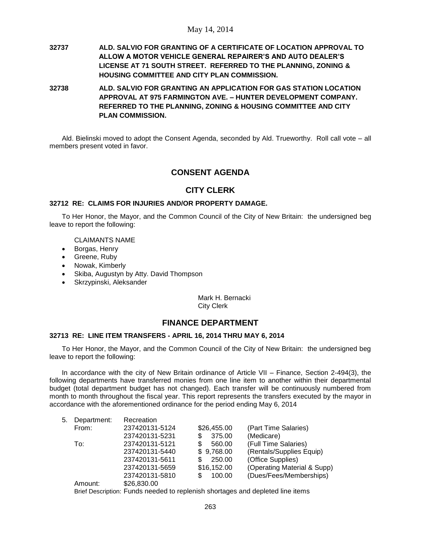- **32737 ALD. SALVIO FOR GRANTING OF A CERTIFICATE OF LOCATION APPROVAL TO ALLOW A MOTOR VEHICLE GENERAL REPAIRER'S AND AUTO DEALER'S LICENSE AT 71 SOUTH STREET. REFERRED TO THE PLANNING, ZONING & HOUSING COMMITTEE AND CITY PLAN COMMISSION.**
- **32738 ALD. SALVIO FOR GRANTING AN APPLICATION FOR GAS STATION LOCATION APPROVAL AT 975 FARMINGTON AVE. – HUNTER DEVELOPMENT COMPANY. REFERRED TO THE PLANNING, ZONING & HOUSING COMMITTEE AND CITY PLAN COMMISSION.**

Ald. Bielinski moved to adopt the Consent Agenda, seconded by Ald. Trueworthy. Roll call vote – all members present voted in favor.

# **CONSENT AGENDA**

# **CITY CLERK**

### **32712 RE: CLAIMS FOR INJURIES AND/OR PROPERTY DAMAGE.**

To Her Honor, the Mayor, and the Common Council of the City of New Britain: the undersigned beg leave to report the following:

CLAIMANTS NAME

- Borgas, Henry
- Greene, Ruby
- Nowak, Kimberly
- Skiba, Augustyn by Atty. David Thompson
- Skrzypinski, Aleksander

Mark H. Bernacki City Clerk

# **FINANCE DEPARTMENT**

#### **32713 RE: LINE ITEM TRANSFERS - APRIL 16, 2014 THRU MAY 6, 2014**

To Her Honor, the Mayor, and the Common Council of the City of New Britain: the undersigned beg leave to report the following:

In accordance with the city of New Britain ordinance of Article VII – Finance, Section 2-494(3), the following departments have transferred monies from one line item to another within their departmental budget (total department budget has not changed). Each transfer will be continuously numbered from month to month throughout the fiscal year. This report represents the transfers executed by the mayor in accordance with the aforementioned ordinance for the period ending May 6, 2014

| 5. | Department: | Recreation     |               |                             |
|----|-------------|----------------|---------------|-----------------------------|
|    | From:       | 237420131-5124 | \$26,455.00   | (Part Time Salaries)        |
|    |             | 237420131-5231 | 375.00<br>\$  | (Medicare)                  |
|    | To:         | 237420131-5121 | \$<br>560.00  | (Full Time Salaries)        |
|    |             | 237420131-5440 | \$9,768.00    | (Rentals/Supplies Equip)    |
|    |             | 237420131-5611 | 250.00<br>S.  | (Office Supplies)           |
|    |             | 237420131-5659 | \$16,152.00   | (Operating Material & Supp) |
|    |             | 237420131-5810 | 100.00<br>\$. | (Dues/Fees/Memberships)     |
|    | Amount:     | \$26,830.00    |               |                             |
|    |             |                |               |                             |

Brief Description: Funds needed to replenish shortages and depleted line items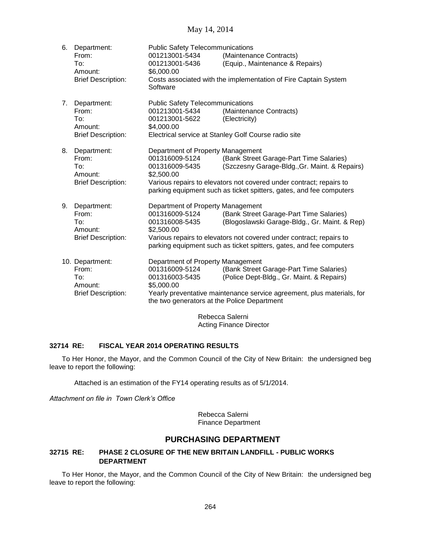| 6. | Department:                                                         | <b>Public Safety Telecommunications</b>                                |                                                                 |  |  |  |
|----|---------------------------------------------------------------------|------------------------------------------------------------------------|-----------------------------------------------------------------|--|--|--|
|    | From:                                                               | 001213001-5434                                                         | (Maintenance Contracts)                                         |  |  |  |
|    | To:                                                                 | 001213001-5436                                                         | (Equip., Maintenance & Repairs)                                 |  |  |  |
|    | Amount:                                                             | \$6,000.00                                                             |                                                                 |  |  |  |
|    | <b>Brief Description:</b>                                           |                                                                        | Costs associated with the implementation of Fire Captain System |  |  |  |
|    |                                                                     |                                                                        |                                                                 |  |  |  |
|    |                                                                     |                                                                        |                                                                 |  |  |  |
| 7. | Department:                                                         | <b>Public Safety Telecommunications</b>                                |                                                                 |  |  |  |
|    | From:                                                               | 001213001-5434                                                         | (Maintenance Contracts)                                         |  |  |  |
|    | To:                                                                 | 001213001-5622                                                         | (Electricity)                                                   |  |  |  |
|    | Amount:                                                             | \$4,000.00                                                             |                                                                 |  |  |  |
|    | <b>Brief Description:</b>                                           |                                                                        | Electrical service at Stanley Golf Course radio site            |  |  |  |
|    |                                                                     |                                                                        |                                                                 |  |  |  |
| 8. | Department:                                                         |                                                                        | Department of Property Management                               |  |  |  |
|    | From:                                                               | 001316009-5124                                                         | (Bank Street Garage-Part Time Salaries)                         |  |  |  |
|    | To:                                                                 | 001316009-5435                                                         | (Szczesny Garage-Bldg., Gr. Maint. & Repairs)                   |  |  |  |
|    | Amount:                                                             | \$2,500.00                                                             |                                                                 |  |  |  |
|    | <b>Brief Description:</b>                                           | Various repairs to elevators not covered under contract; repairs to    |                                                                 |  |  |  |
|    |                                                                     | parking equipment such as ticket spitters, gates, and fee computers    |                                                                 |  |  |  |
|    |                                                                     |                                                                        |                                                                 |  |  |  |
| 9. | Department:                                                         | Department of Property Management                                      |                                                                 |  |  |  |
|    | From:                                                               | 001316009-5124                                                         | (Bank Street Garage-Part Time Salaries)                         |  |  |  |
|    | To:                                                                 | 001316008-5435                                                         | (Blogoslawski Garage-Bldg., Gr. Maint. & Rep)                   |  |  |  |
|    | Amount:                                                             | \$2,500.00                                                             |                                                                 |  |  |  |
|    | <b>Brief Description:</b>                                           | Various repairs to elevators not covered under contract; repairs to    |                                                                 |  |  |  |
|    | parking equipment such as ticket spitters, gates, and fee computers |                                                                        |                                                                 |  |  |  |
|    | 10. Department:                                                     | Department of Property Management                                      |                                                                 |  |  |  |
|    | From:                                                               | 001316009-5124                                                         | (Bank Street Garage-Part Time Salaries)                         |  |  |  |
|    | To:                                                                 | 001316003-5435                                                         | (Police Dept-Bldg., Gr. Maint. & Repairs)                       |  |  |  |
|    | Amount:                                                             | \$5,000.00                                                             |                                                                 |  |  |  |
|    | <b>Brief Description:</b>                                           |                                                                        |                                                                 |  |  |  |
|    |                                                                     | Yearly preventative maintenance service agreement, plus materials, for |                                                                 |  |  |  |
|    | the two generators at the Police Department                         |                                                                        |                                                                 |  |  |  |
|    | Rebecca Salerni                                                     |                                                                        |                                                                 |  |  |  |
|    |                                                                     |                                                                        |                                                                 |  |  |  |

Acting Finance Director

### **32714 RE: FISCAL YEAR 2014 OPERATING RESULTS**

To Her Honor, the Mayor, and the Common Council of the City of New Britain: the undersigned beg leave to report the following:

Attached is an estimation of the FY14 operating results as of 5/1/2014.

*Attachment on file in Town Clerk's Office*

Rebecca Salerni Finance Department

# **PURCHASING DEPARTMENT**

# **32715 RE: PHASE 2 CLOSURE OF THE NEW BRITAIN LANDFILL - PUBLIC WORKS DEPARTMENT**

To Her Honor, the Mayor, and the Common Council of the City of New Britain: the undersigned beg leave to report the following: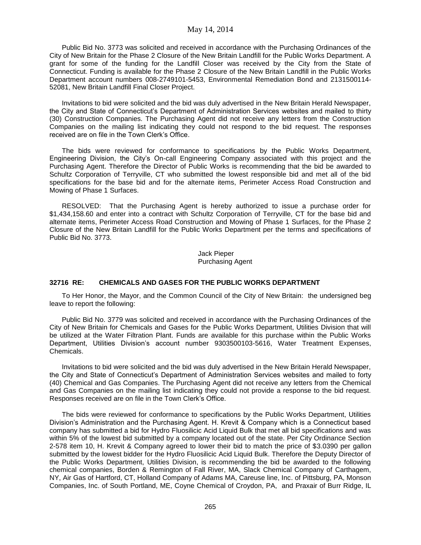Public Bid No. 3773 was solicited and received in accordance with the Purchasing Ordinances of the City of New Britain for the Phase 2 Closure of the New Britain Landfill for the Public Works Department. A grant for some of the funding for the Landfill Closer was received by the City from the State of Connecticut. Funding is available for the Phase 2 Closure of the New Britain Landfill in the Public Works Department account numbers 008-2749101-5453, Environmental Remediation Bond and 2131500114- 52081, New Britain Landfill Final Closer Project.

Invitations to bid were solicited and the bid was duly advertised in the New Britain Herald Newspaper, the City and State of Connecticut's Department of Administration Services websites and mailed to thirty (30) Construction Companies. The Purchasing Agent did not receive any letters from the Construction Companies on the mailing list indicating they could not respond to the bid request. The responses received are on file in the Town Clerk's Office.

The bids were reviewed for conformance to specifications by the Public Works Department, Engineering Division, the City's On-call Engineering Company associated with this project and the Purchasing Agent. Therefore the Director of Public Works is recommending that the bid be awarded to Schultz Corporation of Terryville, CT who submitted the lowest responsible bid and met all of the bid specifications for the base bid and for the alternate items, Perimeter Access Road Construction and Mowing of Phase 1 Surfaces.

RESOLVED: That the Purchasing Agent is hereby authorized to issue a purchase order for \$1,434,158.60 and enter into a contract with Schultz Corporation of Terryville, CT for the base bid and alternate items, Perimeter Access Road Construction and Mowing of Phase 1 Surfaces, for the Phase 2 Closure of the New Britain Landfill for the Public Works Department per the terms and specifications of Public Bid No. 3773.

> Jack Pieper Purchasing Agent

#### **32716 RE: CHEMICALS AND GASES FOR THE PUBLIC WORKS DEPARTMENT**

To Her Honor, the Mayor, and the Common Council of the City of New Britain: the undersigned beg leave to report the following:

Public Bid No. 3779 was solicited and received in accordance with the Purchasing Ordinances of the City of New Britain for Chemicals and Gases for the Public Works Department, Utilities Division that will be utilized at the Water Filtration Plant. Funds are available for this purchase within the Public Works Department, Utilities Division's account number 9303500103-5616, Water Treatment Expenses, Chemicals.

Invitations to bid were solicited and the bid was duly advertised in the New Britain Herald Newspaper, the City and State of Connecticut's Department of Administration Services websites and mailed to forty (40) Chemical and Gas Companies. The Purchasing Agent did not receive any letters from the Chemical and Gas Companies on the mailing list indicating they could not provide a response to the bid request. Responses received are on file in the Town Clerk's Office.

The bids were reviewed for conformance to specifications by the Public Works Department, Utilities Division's Administration and the Purchasing Agent. H. Krevit & Company which is a Connecticut based company has submitted a bid for Hydro Fluosilicic Acid Liquid Bulk that met all bid specifications and was within 5% of the lowest bid submitted by a company located out of the state. Per City Ordinance Section 2-578 item 10, H. Krevit & Company agreed to lower their bid to match the price of \$3.0390 per gallon submitted by the lowest bidder for the Hydro Fluosilicic Acid Liquid Bulk. Therefore the Deputy Director of the Public Works Department, Utilities Division, is recommending the bid be awarded to the following chemical companies, Borden & Remington of Fall River, MA, Slack Chemical Company of Carthagem, NY, Air Gas of Hartford, CT, Holland Company of Adams MA, Careuse line, Inc. of Pittsburg, PA, Monson Companies, Inc. of South Portland, ME, Coyne Chemical of Croydon, PA, and Praxair of Burr Ridge, IL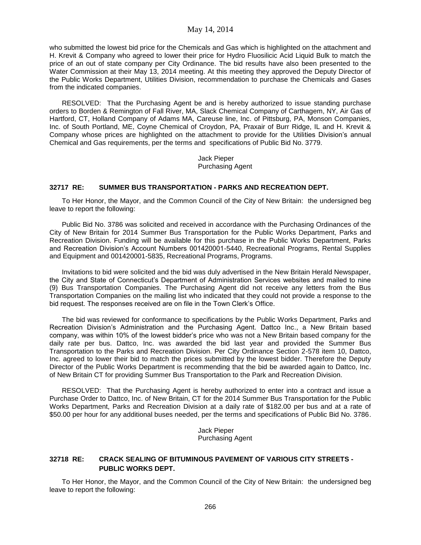who submitted the lowest bid price for the Chemicals and Gas which is highlighted on the attachment and H. Krevit & Company who agreed to lower their price for Hydro Fluosilicic Acid Liquid Bulk to match the price of an out of state company per City Ordinance. The bid results have also been presented to the Water Commission at their May 13, 2014 meeting. At this meeting they approved the Deputy Director of the Public Works Department, Utilities Division, recommendation to purchase the Chemicals and Gases from the indicated companies.

RESOLVED: That the Purchasing Agent be and is hereby authorized to issue standing purchase orders to Borden & Remington of Fall River, MA, Slack Chemical Company of Carthagem, NY, Air Gas of Hartford, CT, Holland Company of Adams MA, Careuse line, Inc. of Pittsburg, PA, Monson Companies, Inc. of South Portland, ME, Coyne Chemical of Croydon, PA, Praxair of Burr Ridge, IL and H. Krevit & Company whose prices are highlighted on the attachment to provide for the Utilities Division's annual Chemical and Gas requirements, per the terms and specifications of Public Bid No. 3779.

> Jack Pieper Purchasing Agent

#### **32717 RE: SUMMER BUS TRANSPORTATION - PARKS AND RECREATION DEPT.**

To Her Honor, the Mayor, and the Common Council of the City of New Britain: the undersigned beg leave to report the following:

Public Bid No. 3786 was solicited and received in accordance with the Purchasing Ordinances of the City of New Britain for 2014 Summer Bus Transportation for the Public Works Department, Parks and Recreation Division. Funding will be available for this purchase in the Public Works Department, Parks and Recreation Division's Account Numbers 001420001-5440, Recreational Programs, Rental Supplies and Equipment and 001420001-5835, Recreational Programs, Programs.

Invitations to bid were solicited and the bid was duly advertised in the New Britain Herald Newspaper, the City and State of Connecticut's Department of Administration Services websites and mailed to nine (9) Bus Transportation Companies. The Purchasing Agent did not receive any letters from the Bus Transportation Companies on the mailing list who indicated that they could not provide a response to the bid request. The responses received are on file in the Town Clerk's Office.

The bid was reviewed for conformance to specifications by the Public Works Department, Parks and Recreation Division's Administration and the Purchasing Agent. Dattco Inc., a New Britain based company, was within 10% of the lowest bidder's price who was not a New Britain based company for the daily rate per bus. Dattco, Inc. was awarded the bid last year and provided the Summer Bus Transportation to the Parks and Recreation Division. Per City Ordinance Section 2-578 item 10, Dattco, Inc. agreed to lower their bid to match the prices submitted by the lowest bidder. Therefore the Deputy Director of the Public Works Department is recommending that the bid be awarded again to Dattco, Inc. of New Britain CT for providing Summer Bus Transportation to the Park and Recreation Division.

RESOLVED: That the Purchasing Agent is hereby authorized to enter into a contract and issue a Purchase Order to Dattco, Inc. of New Britain, CT for the 2014 Summer Bus Transportation for the Public Works Department, Parks and Recreation Division at a daily rate of \$182.00 per bus and at a rate of \$50.00 per hour for any additional buses needed, per the terms and specifications of Public Bid No. 3786.

> Jack Pieper Purchasing Agent

#### **32718 RE: CRACK SEALING OF BITUMINOUS PAVEMENT OF VARIOUS CITY STREETS - PUBLIC WORKS DEPT.**

To Her Honor, the Mayor, and the Common Council of the City of New Britain: the undersigned beg leave to report the following: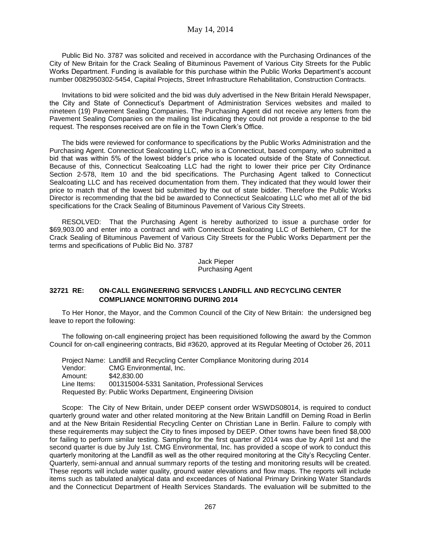Public Bid No. 3787 was solicited and received in accordance with the Purchasing Ordinances of the City of New Britain for the Crack Sealing of Bituminous Pavement of Various City Streets for the Public Works Department. Funding is available for this purchase within the Public Works Department's account number 0082950302-5454, Capital Projects, Street Infrastructure Rehabilitation, Construction Contracts.

Invitations to bid were solicited and the bid was duly advertised in the New Britain Herald Newspaper, the City and State of Connecticut's Department of Administration Services websites and mailed to nineteen (19) Pavement Sealing Companies. The Purchasing Agent did not receive any letters from the Pavement Sealing Companies on the mailing list indicating they could not provide a response to the bid request. The responses received are on file in the Town Clerk's Office.

The bids were reviewed for conformance to specifications by the Public Works Administration and the Purchasing Agent. Connecticut Sealcoating LLC, who is a Connecticut, based company, who submitted a bid that was within 5% of the lowest bidder's price who is located outside of the State of Connecticut. Because of this, Connecticut Sealcoating LLC had the right to lower their price per City Ordinance Section 2-578, Item 10 and the bid specifications. The Purchasing Agent talked to Connecticut Sealcoating LLC and has received documentation from them. They indicated that they would lower their price to match that of the lowest bid submitted by the out of state bidder. Therefore the Public Works Director is recommending that the bid be awarded to Connecticut Sealcoating LLC who met all of the bid specifications for the Crack Sealing of Bituminous Pavement of Various City Streets.

RESOLVED: That the Purchasing Agent is hereby authorized to issue a purchase order for \$69,903.00 and enter into a contract and with Connecticut Sealcoating LLC of Bethlehem, CT for the Crack Sealing of Bituminous Pavement of Various City Streets for the Public Works Department per the terms and specifications of Public Bid No. 3787

> Jack Pieper Purchasing Agent

### **32721 RE: ON-CALL ENGINEERING SERVICES LANDFILL AND RECYCLING CENTER COMPLIANCE MONITORING DURING 2014**

To Her Honor, the Mayor, and the Common Council of the City of New Britain: the undersigned beg leave to report the following:

The following on-call engineering project has been requisitioned following the award by the Common Council for on-call engineering contracts, Bid #3620, approved at its Regular Meeting of October 26, 2011

|             | Project Name: Landfill and Recycling Center Compliance Monitoring during 2014 |
|-------------|-------------------------------------------------------------------------------|
| Vendor:     | CMG Environmental, Inc.                                                       |
| Amount:     | \$42,830,00                                                                   |
| Line Items: | 001315004-5331 Sanitation, Professional Services                              |
|             | Requested By: Public Works Department, Engineering Division                   |

Scope: The City of New Britain, under DEEP consent order WSWDS08014, is required to conduct quarterly ground water and other related monitoring at the New Britain Landfill on Deming Road in Berlin and at the New Britain Residential Recycling Center on Christian Lane in Berlin. Failure to comply with these requirements may subject the City to fines imposed by DEEP. Other towns have been fined \$8,000 for failing to perform similar testing. Sampling for the first quarter of 2014 was due by April 1st and the second quarter is due by July 1st. CMG Environmental, Inc. has provided a scope of work to conduct this quarterly monitoring at the Landfill as well as the other required monitoring at the City's Recycling Center. Quarterly, semi-annual and annual summary reports of the testing and monitoring results will be created. These reports will include water quality, ground water elevations and flow maps. The reports will include items such as tabulated analytical data and exceedances of National Primary Drinking Water Standards and the Connecticut Department of Health Services Standards. The evaluation will be submitted to the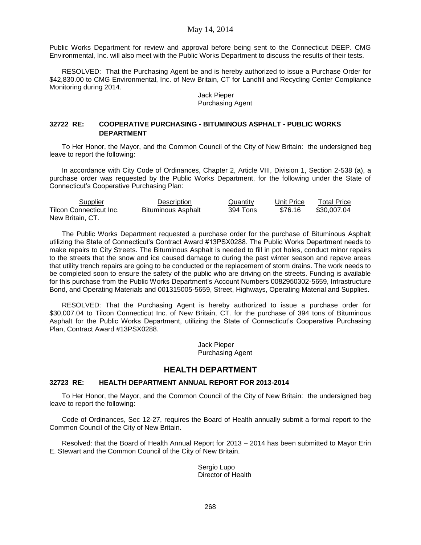Public Works Department for review and approval before being sent to the Connecticut DEEP. CMG Environmental, Inc. will also meet with the Public Works Department to discuss the results of their tests.

RESOLVED: That the Purchasing Agent be and is hereby authorized to issue a Purchase Order for \$42,830.00 to CMG Environmental, Inc. of New Britain, CT for Landfill and Recycling Center Compliance Monitoring during 2014.

#### Jack Pieper Purchasing Agent

### **32722 RE: COOPERATIVE PURCHASING - BITUMINOUS ASPHALT - PUBLIC WORKS DEPARTMENT**

To Her Honor, the Mayor, and the Common Council of the City of New Britain: the undersigned beg leave to report the following:

In accordance with City Code of Ordinances, Chapter 2, Article VIII, Division 1, Section 2-538 (a), a purchase order was requested by the Public Works Department, for the following under the State of Connecticut's Cooperative Purchasing Plan:

| Supplier                | Description        | Quantity | Unit Price | <b>Total Price</b> |
|-------------------------|--------------------|----------|------------|--------------------|
| Tilcon Connecticut Inc. | Bituminous Asphalt | 394 Tons | \$76.16    | \$30,007.04        |
| New Britain, CT.        |                    |          |            |                    |

The Public Works Department requested a purchase order for the purchase of Bituminous Asphalt utilizing the State of Connecticut's Contract Award #13PSX0288. The Public Works Department needs to make repairs to City Streets. The Bituminous Asphalt is needed to fill in pot holes, conduct minor repairs to the streets that the snow and ice caused damage to during the past winter season and repave areas that utility trench repairs are going to be conducted or the replacement of storm drains. The work needs to be completed soon to ensure the safety of the public who are driving on the streets. Funding is available for this purchase from the Public Works Department's Account Numbers 0082950302-5659, Infrastructure Bond, and Operating Materials and 001315005-5659, Street, Highways, Operating Material and Supplies.

RESOLVED: That the Purchasing Agent is hereby authorized to issue a purchase order for \$30,007.04 to Tilcon Connecticut Inc. of New Britain, CT. for the purchase of 394 tons of Bituminous Asphalt for the Public Works Department, utilizing the State of Connecticut's Cooperative Purchasing Plan, Contract Award #13PSX0288.

> Jack Pieper Purchasing Agent

#### **HEALTH DEPARTMENT**

#### **32723 RE: HEALTH DEPARTMENT ANNUAL REPORT FOR 2013-2014**

To Her Honor, the Mayor, and the Common Council of the City of New Britain: the undersigned beg leave to report the following:

Code of Ordinances, Sec 12-27, requires the Board of Health annually submit a formal report to the Common Council of the City of New Britain.

Resolved: that the Board of Health Annual Report for 2013 – 2014 has been submitted to Mayor Erin E. Stewart and the Common Council of the City of New Britain.

> Sergio Lupo Director of Health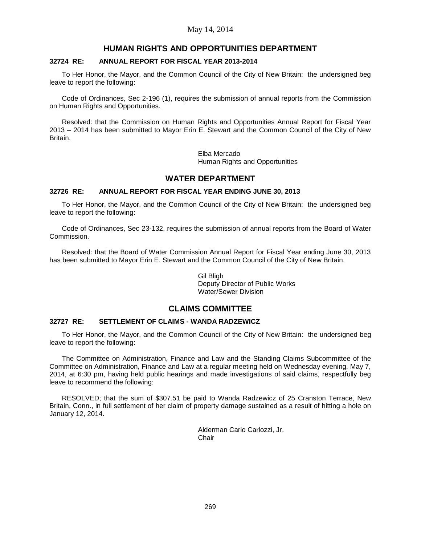# **HUMAN RIGHTS AND OPPORTUNITIES DEPARTMENT**

### **32724 RE: ANNUAL REPORT FOR FISCAL YEAR 2013-2014**

To Her Honor, the Mayor, and the Common Council of the City of New Britain: the undersigned beg leave to report the following:

Code of Ordinances, Sec 2-196 (1), requires the submission of annual reports from the Commission on Human Rights and Opportunities.

Resolved: that the Commission on Human Rights and Opportunities Annual Report for Fiscal Year 2013 – 2014 has been submitted to Mayor Erin E. Stewart and the Common Council of the City of New Britain.

> Elba Mercado Human Rights and Opportunities

# **WATER DEPARTMENT**

### **32726 RE: ANNUAL REPORT FOR FISCAL YEAR ENDING JUNE 30, 2013**

To Her Honor, the Mayor, and the Common Council of the City of New Britain: the undersigned beg leave to report the following:

Code of Ordinances, Sec 23-132, requires the submission of annual reports from the Board of Water Commission.

Resolved: that the Board of Water Commission Annual Report for Fiscal Year ending June 30, 2013 has been submitted to Mayor Erin E. Stewart and the Common Council of the City of New Britain.

> Gil Bligh Deputy Director of Public Works Water/Sewer Division

# **CLAIMS COMMITTEE**

### **32727 RE: SETTLEMENT OF CLAIMS - WANDA RADZEWICZ**

To Her Honor, the Mayor, and the Common Council of the City of New Britain: the undersigned beg leave to report the following:

The Committee on Administration, Finance and Law and the Standing Claims Subcommittee of the Committee on Administration, Finance and Law at a regular meeting held on Wednesday evening, May 7, 2014, at 6:30 pm, having held public hearings and made investigations of said claims, respectfully beg leave to recommend the following:

RESOLVED; that the sum of \$307.51 be paid to Wanda Radzewicz of 25 Cranston Terrace, New Britain, Conn., in full settlement of her claim of property damage sustained as a result of hitting a hole on January 12, 2014.

> Alderman Carlo Carlozzi, Jr. Chair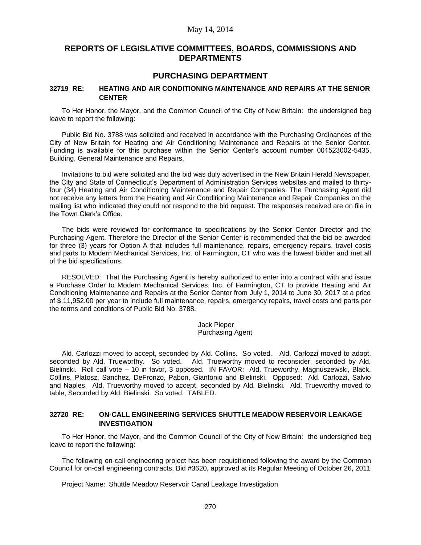# **REPORTS OF LEGISLATIVE COMMITTEES, BOARDS, COMMISSIONS AND DEPARTMENTS**

# **PURCHASING DEPARTMENT**

### **32719 RE: HEATING AND AIR CONDITIONING MAINTENANCE AND REPAIRS AT THE SENIOR CENTER**

To Her Honor, the Mayor, and the Common Council of the City of New Britain: the undersigned beg leave to report the following:

Public Bid No. 3788 was solicited and received in accordance with the Purchasing Ordinances of the City of New Britain for Heating and Air Conditioning Maintenance and Repairs at the Senior Center. Funding is available for this purchase within the Senior Center's account number 001523002-5435, Building, General Maintenance and Repairs.

Invitations to bid were solicited and the bid was duly advertised in the New Britain Herald Newspaper, the City and State of Connecticut's Department of Administration Services websites and mailed to thirtyfour (34) Heating and Air Conditioning Maintenance and Repair Companies. The Purchasing Agent did not receive any letters from the Heating and Air Conditioning Maintenance and Repair Companies on the mailing list who indicated they could not respond to the bid request. The responses received are on file in the Town Clerk's Office.

The bids were reviewed for conformance to specifications by the Senior Center Director and the Purchasing Agent. Therefore the Director of the Senior Center is recommended that the bid be awarded for three (3) years for Option A that includes full maintenance, repairs, emergency repairs, travel costs and parts to Modern Mechanical Services, Inc. of Farmington, CT who was the lowest bidder and met all of the bid specifications.

RESOLVED: That the Purchasing Agent is hereby authorized to enter into a contract with and issue a Purchase Order to Modern Mechanical Services, Inc. of Farmington, CT to provide Heating and Air Conditioning Maintenance and Repairs at the Senior Center from July 1, 2014 to June 30, 2017 at a price of \$ 11,952.00 per year to include full maintenance, repairs, emergency repairs, travel costs and parts per the terms and conditions of Public Bid No. 3788.

> Jack Pieper Purchasing Agent

Ald. Carlozzi moved to accept, seconded by Ald. Collins. So voted. Ald. Carlozzi moved to adopt, seconded by Ald. Trueworthy. So voted. Ald. Trueworthy moved to reconsider, seconded by Ald. Bielinski. Roll call vote – 10 in favor, 3 opposed. IN FAVOR: Ald. Trueworthy, Magnuszewski, Black, Collins, Platosz, Sanchez, DeFronzo, Pabon, Giantonio and Bielinski. Opposed: Ald. Carlozzi, Salvio and Naples. Ald. Trueworthy moved to accept, seconded by Ald. Bielinski. Ald. Trueworthy moved to table, Seconded by Ald. Bielinski. So voted. TABLED.

### **32720 RE: ON-CALL ENGINEERING SERVICES SHUTTLE MEADOW RESERVOIR LEAKAGE INVESTIGATION**

To Her Honor, the Mayor, and the Common Council of the City of New Britain: the undersigned beg leave to report the following:

The following on-call engineering project has been requisitioned following the award by the Common Council for on-call engineering contracts, Bid #3620, approved at its Regular Meeting of October 26, 2011

Project Name: Shuttle Meadow Reservoir Canal Leakage Investigation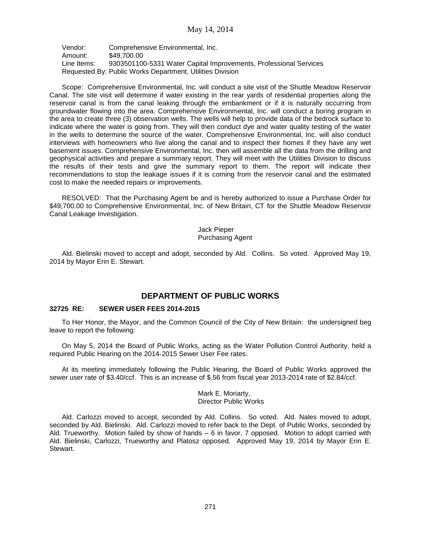Vendor: Comprehensive Environmental, Inc. Amount: \$49,700.00 Line Items: 9303501100-5331 Water Capital Improvements, Professional Services Requested By: Public Works Department, Utilities Division

Scope: Comprehensive Environmental, Inc. will conduct a site visit of the Shuttle Meadow Reservoir Canal. The site visit will determine if water existing in the rear yards of residential properties along the reservoir canal is from the canal leaking through the embankment or if it is naturally occurring from groundwater flowing into the area. Comprehensive Environmental, Inc. will conduct a boring program in the area to create three (3) observation wells. The wells will help to provide data of the bedrock surface to indicate where the water is going from. They will then conduct dye and water quality testing of the water in the wells to determine the source of the water. Comprehensive Environmental, Inc. will also conduct interviews with homeowners who live along the canal and to inspect their homes if they have any wet basement issues. Comprehensive Environmental, Inc. then will assemble all the data from the drilling and geophysical activities and prepare a summary report. They will meet with the Utilities Division to discuss the results of their tests and give the summary report to them. The report will indicate their recommendations to stop the leakage issues if it is coming from the reservoir canal and the estimated cost to make the needed repairs or improvements.

RESOLVED: That the Purchasing Agent be and is hereby authorized to issue a Purchase Order for \$49,700.00 to Comprehensive Environmental, Inc. of New Britain, CT for the Shuttle Meadow Reservoir Canal Leakage Investigation.

> Jack Pieper Purchasing Agent

Ald. Bielinski moved to accept and adopt, seconded by Ald. Collins. So voted. Approved May 19, 2014 by Mayor Erin E. Stewart.

# **DEPARTMENT OF PUBLIC WORKS**

#### **32725 RE: SEWER USER FEES 2014-2015**

To Her Honor, the Mayor, and the Common Council of the City of New Britain: the undersigned beg leave to report the following:

On May 5, 2014 the Board of Public Works, acting as the Water Pollution Control Authority, held a required Public Hearing on the 2014-2015 Sewer User Fee rates.

At its meeting immediately following the Public Hearing, the Board of Public Works approved the sewer user rate of \$3.40/ccf. This is an increase of \$.56 from fiscal year 2013-2014 rate of \$2.84/ccf.

#### Mark E. Moriarty, Director Public Works

Ald. Carlozzi moved to accept, seconded by Ald. Collins. So voted. Ald. Nales moved to adopt, seconded by Ald. Bielinski. Ald. Carlozzi moved to refer back to the Dept. of Public Works, seconded by Ald. Trueworthy. Motion failed by show of hands – 6 in favor, 7 opposed. Motion to adopt carried with Ald. Bielinski, Carlozzi, Trueworthy and Platosz opposed. Approved May 19, 2014 by Mayor Erin E. Stewart.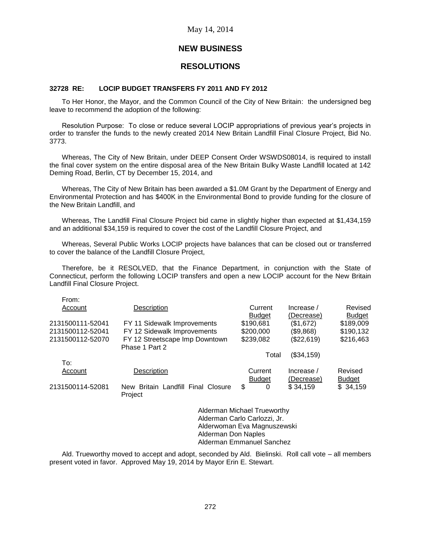# **NEW BUSINESS**

# **RESOLUTIONS**

### **32728 RE: LOCIP BUDGET TRANSFERS FY 2011 AND FY 2012**

To Her Honor, the Mayor, and the Common Council of the City of New Britain: the undersigned beg leave to recommend the adoption of the following:

Resolution Purpose: To close or reduce several LOCIP appropriations of previous year's projects in order to transfer the funds to the newly created 2014 New Britain Landfill Final Closure Project, Bid No. 3773.

Whereas, The City of New Britain, under DEEP Consent Order WSWDS08014, is required to install the final cover system on the entire disposal area of the New Britain Bulky Waste Landfill located at 142 Deming Road, Berlin, CT by December 15, 2014, and

Whereas, The City of New Britain has been awarded a \$1.0M Grant by the Department of Energy and Environmental Protection and has \$400K in the Environmental Bond to provide funding for the closure of the New Britain Landfill, and

Whereas, The Landfill Final Closure Project bid came in slightly higher than expected at \$1,434,159 and an additional \$34,159 is required to cover the cost of the Landfill Closure Project, and

Whereas, Several Public Works LOCIP projects have balances that can be closed out or transferred to cover the balance of the Landfill Closure Project,

Therefore, be it RESOLVED, that the Finance Department, in conjunction with the State of Connecticut, perform the following LOCIP transfers and open a new LOCIP account for the New Britain Landfill Final Closure Project.

| From:            |                                    |               |            |               |
|------------------|------------------------------------|---------------|------------|---------------|
| Account          | Description                        | Current       | Increase / | Revised       |
|                  |                                    | <b>Budget</b> | (Decrease) | <b>Budget</b> |
| 2131500111-52041 | FY 11 Sidewalk Improvements        | \$190,681     | (\$1,672)  | \$189,009     |
| 2131500112-52041 | FY 12 Sidewalk Improvements        | \$200,000     | (\$9,868)  | \$190,132     |
| 2131500112-52070 | FY 12 Streetscape Imp Downtown     | \$239,082     | (\$22,619) | \$216,463     |
|                  | Phase 1 Part 2                     |               |            |               |
|                  |                                    | Total         | (\$34,159) |               |
| To:              |                                    |               |            |               |
| Account          | Description                        | Current       | Increase / | Revised       |
|                  |                                    | <b>Budget</b> | (Decrease) | <b>Budget</b> |
| 2131500114-52081 | New Britain Landfill Final Closure | \$<br>0       | \$34,159   | \$34,159      |
|                  | Project                            |               |            |               |
|                  |                                    |               |            |               |

Alderman Michael Trueworthy Alderman Carlo Carlozzi, Jr. Alderwoman Eva Magnuszewski Alderman Don Naples Alderman Emmanuel Sanchez

Ald. Trueworthy moved to accept and adopt, seconded by Ald. Bielinski. Roll call vote – all members present voted in favor. Approved May 19, 2014 by Mayor Erin E. Stewart.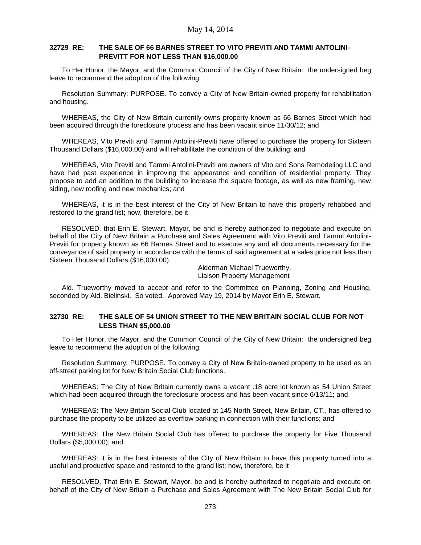### **32729 RE: THE SALE OF 66 BARNES STREET TO VITO PREVITI AND TAMMI ANTOLINI-PREVITT FOR NOT LESS THAN \$16,000.00**

To Her Honor, the Mayor, and the Common Council of the City of New Britain: the undersigned beg leave to recommend the adoption of the following:

Resolution Summary: PURPOSE. To convey a City of New Britain-owned property for rehabilitation and housing.

WHEREAS, the City of New Britain currently owns property known as 66 Barnes Street which had been acquired through the foreclosure process and has been vacant since 11/30/12; and

WHEREAS, Vito Previti and Tammi Antolini-Previti have offered to purchase the property for Sixteen Thousand Dollars (\$16,000.00) and will rehabilitate the condition of the building; and

WHEREAS, Vito Previti and Tammi Antolini-Previti are owners of Vito and Sons Remodeling LLC and have had past experience in improving the appearance and condition of residential property. They propose to add an addition to the building to increase the square footage, as well as new framing, new siding, new roofing and new mechanics; and

WHEREAS, it is in the best interest of the City of New Britain to have this property rehabbed and restored to the grand list; now, therefore, be it

RESOLVED, that Erin E. Stewart, Mayor, be and is hereby authorized to negotiate and execute on behalf of the City of New Britain a Purchase and Sales Agreement with Vito Previti and Tammi Antolini-Previti for property known as 66 Barnes Street and to execute any and all documents necessary for the conveyance of said property in accordance with the terms of said agreement at a sales price not less than Sixteen Thousand Dollars (\$16,000.00).

> Alderman Michael Trueworthy, Liaison Property Management

Ald. Trueworthy moved to accept and refer to the Committee on Planning, Zoning and Housing, seconded by Ald. Bielinski. So voted. Approved May 19, 2014 by Mayor Erin E. Stewart.

#### **32730 RE: THE SALE OF 54 UNION STREET TO THE NEW BRITAIN SOCIAL CLUB FOR NOT LESS THAN \$5,000.00**

To Her Honor, the Mayor, and the Common Council of the City of New Britain: the undersigned beg leave to recommend the adoption of the following:

Resolution Summary: PURPOSE. To convey a City of New Britain-owned property to be used as an off-street parking lot for New Britain Social Club functions.

WHEREAS: The City of New Britain currently owns a vacant .18 acre lot known as 54 Union Street which had been acquired through the foreclosure process and has been vacant since 6/13/11; and

WHEREAS: The New Britain Social Club located at 145 North Street, New Britain, CT., has offered to purchase the property to be utilized as overflow parking in connection with their functions; and

WHEREAS: The New Britain Social Club has offered to purchase the property for Five Thousand Dollars (\$5,000.00); and

WHEREAS: it is in the best interests of the City of New Britain to have this property turned into a useful and productive space and restored to the grand list; now, therefore, be it

RESOLVED, That Erin E. Stewart, Mayor, be and is hereby authorized to negotiate and execute on behalf of the City of New Britain a Purchase and Sales Agreement with The New Britain Social Club for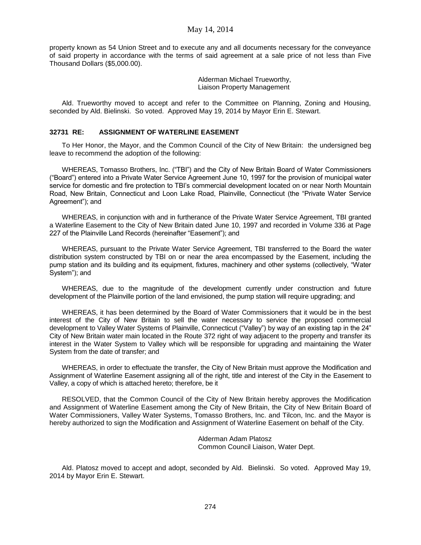property known as 54 Union Street and to execute any and all documents necessary for the conveyance of said property in accordance with the terms of said agreement at a sale price of not less than Five Thousand Dollars (\$5,000.00).

> Alderman Michael Trueworthy, Liaison Property Management

Ald. Trueworthy moved to accept and refer to the Committee on Planning, Zoning and Housing, seconded by Ald. Bielinski. So voted. Approved May 19, 2014 by Mayor Erin E. Stewart.

### **32731 RE: ASSIGNMENT OF WATERLINE EASEMENT**

To Her Honor, the Mayor, and the Common Council of the City of New Britain: the undersigned beg leave to recommend the adoption of the following:

WHEREAS, Tomasso Brothers, Inc. ("TBI") and the City of New Britain Board of Water Commissioners ("Board") entered into a Private Water Service Agreement June 10, 1997 for the provision of municipal water service for domestic and fire protection to TBI's commercial development located on or near North Mountain Road, New Britain, Connecticut and Loon Lake Road, Plainville, Connecticut (the "Private Water Service Agreement"); and

WHEREAS, in conjunction with and in furtherance of the Private Water Service Agreement, TBI granted a Waterline Easement to the City of New Britain dated June 10, 1997 and recorded in Volume 336 at Page 227 of the Plainville Land Records (hereinafter "Easement"); and

WHEREAS, pursuant to the Private Water Service Agreement, TBI transferred to the Board the water distribution system constructed by TBI on or near the area encompassed by the Easement, including the pump station and its building and its equipment, fixtures, machinery and other systems (collectively, "Water System"); and

WHEREAS, due to the magnitude of the development currently under construction and future development of the Plainville portion of the land envisioned, the pump station will require upgrading; and

WHEREAS, it has been determined by the Board of Water Commissioners that it would be in the best interest of the City of New Britain to sell the water necessary to service the proposed commercial development to Valley Water Systems of Plainville, Connecticut ("Valley") by way of an existing tap in the 24" City of New Britain water main located in the Route 372 right of way adjacent to the property and transfer its interest in the Water System to Valley which will be responsible for upgrading and maintaining the Water System from the date of transfer; and

WHEREAS, in order to effectuate the transfer, the City of New Britain must approve the Modification and Assignment of Waterline Easement assigning all of the right, title and interest of the City in the Easement to Valley, a copy of which is attached hereto; therefore, be it

RESOLVED, that the Common Council of the City of New Britain hereby approves the Modification and Assignment of Waterline Easement among the City of New Britain, the City of New Britain Board of Water Commissioners, Valley Water Systems, Tomasso Brothers, Inc. and Tilcon, Inc. and the Mayor is hereby authorized to sign the Modification and Assignment of Waterline Easement on behalf of the City.

> Alderman Adam Platosz Common Council Liaison, Water Dept.

Ald. Platosz moved to accept and adopt, seconded by Ald. Bielinski. So voted. Approved May 19, 2014 by Mayor Erin E. Stewart.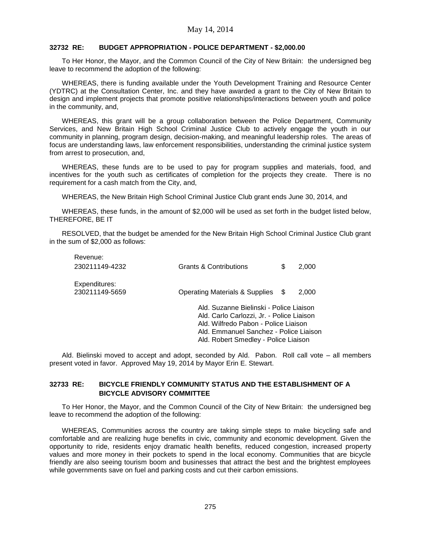#### **32732 RE: BUDGET APPROPRIATION - POLICE DEPARTMENT - \$2,000.00**

To Her Honor, the Mayor, and the Common Council of the City of New Britain: the undersigned beg leave to recommend the adoption of the following:

WHEREAS, there is funding available under the Youth Development Training and Resource Center (YDTRC) at the Consultation Center, Inc. and they have awarded a grant to the City of New Britain to design and implement projects that promote positive relationships/interactions between youth and police in the community, and,

WHEREAS, this grant will be a group collaboration between the Police Department, Community Services, and New Britain High School Criminal Justice Club to actively engage the youth in our community in planning, program design, decision-making, and meaningful leadership roles. The areas of focus are understanding laws, law enforcement responsibilities, understanding the criminal justice system from arrest to prosecution, and,

WHEREAS, these funds are to be used to pay for program supplies and materials, food, and incentives for the youth such as certificates of completion for the projects they create. There is no requirement for a cash match from the City, and,

WHEREAS, the New Britain High School Criminal Justice Club grant ends June 30, 2014, and

WHEREAS, these funds, in the amount of \$2,000 will be used as set forth in the budget listed below, THEREFORE, BE IT

RESOLVED, that the budget be amended for the New Britain High School Criminal Justice Club grant in the sum of \$2,000 as follows:

| Revenue:<br>230211149-4232      | <b>Grants &amp; Contributions</b>                                                                                                                                                                              | S | 2.000 |
|---------------------------------|----------------------------------------------------------------------------------------------------------------------------------------------------------------------------------------------------------------|---|-------|
| Expenditures:<br>230211149-5659 | <b>Operating Materials &amp; Supplies</b>                                                                                                                                                                      | S | 2,000 |
|                                 | Ald, Suzanne Bielinski - Police Liaison<br>Ald. Carlo Carlozzi, Jr. - Police Liaison<br>Ald. Wilfredo Pabon - Police Liaison<br>Ald. Emmanuel Sanchez - Police Liaison<br>Ald. Robert Smedley - Police Liaison |   |       |

Ald. Bielinski moved to accept and adopt, seconded by Ald. Pabon. Roll call vote – all members present voted in favor. Approved May 19, 2014 by Mayor Erin E. Stewart.

### **32733 RE: BICYCLE FRIENDLY COMMUNITY STATUS AND THE ESTABLISHMENT OF A BICYCLE ADVISORY COMMITTEE**

To Her Honor, the Mayor, and the Common Council of the City of New Britain: the undersigned beg leave to recommend the adoption of the following:

WHEREAS, Communities across the country are taking simple steps to make bicycling safe and comfortable and are realizing huge benefits in civic, community and economic development. Given the opportunity to ride, residents enjoy dramatic health benefits, reduced congestion, increased property values and more money in their pockets to spend in the local economy. Communities that are bicycle friendly are also seeing tourism boom and businesses that attract the best and the brightest employees while governments save on fuel and parking costs and cut their carbon emissions.